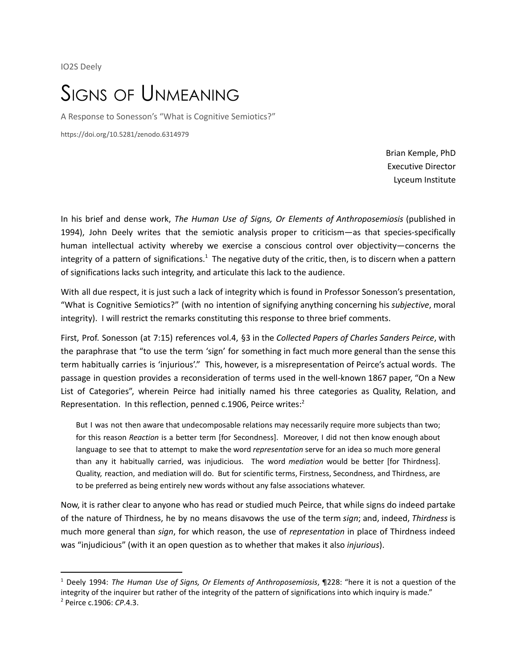IO2S Deely

## SIGNS OF UNMEANING

A Response to Sonesson's "What is Cognitive Semiotics?"

https://doi.org/10.5281/zenodo.6314979

Brian Kemple, PhD Executive Director Lyceum Institute

In his brief and dense work, *The Human Use of Signs, Or Elements of Anthroposemiosis* (published in 1994), John Deely writes that the semiotic analysis proper to criticism—as that species-specifically human intellectual activity whereby we exercise a conscious control over objectivity—concerns the integrity of a pattern of significations.<sup>1</sup> The negative duty of the critic, then, is to discern when a pattern of significations lacks such integrity, and articulate this lack to the audience.

With all due respect, it is just such a lack of integrity which is found in Professor Sonesson's presentation, "What is Cognitive Semiotics?" (with no intention of signifying anything concerning his *subjective*, moral integrity). I will restrict the remarks constituting this response to three brief comments.

First, Prof. Sonesson (at 7:15) references vol.4, §3 in the *Collected Papers of Charles Sanders Peirce*, with the paraphrase that "to use the term 'sign' for something in fact much more general than the sense this term habitually carries is 'injurious'." This, however, is a misrepresentation of Peirce's actual words. The passage in question provides a reconsideration of terms used in the well-known 1867 paper, "On a New List of Categories", wherein Peirce had initially named his three categories as Quality, Relation, and Representation. In this reflection, penned c.1906, Peirce writes:<sup>2</sup>

But I was not then aware that undecomposable relations may necessarily require more subjects than two; for this reason *Reaction* is a better term [for Secondness]. Moreover, I did not then know enough about language to see that to attempt to make the word *representation* serve for an idea so much more general than any it habitually carried, was injudicious. The word *mediation* would be better [for Thirdness]. Quality, reaction, and mediation will do. But for scientific terms, Firstness, Secondness, and Thirdness, are to be preferred as being entirely new words without any false associations whatever.

Now, it is rather clear to anyone who has read or studied much Peirce, that while signs do indeed partake of the nature of Thirdness, he by no means disavows the use of the term *sign*; and, indeed, *Thirdness* is much more general than *sign*, for which reason, the use of *representation* in place of Thirdness indeed was "injudicious" (with it an open question as to whether that makes it also *injurious*).

<sup>1</sup> Deely 1994: *The Human Use of Signs, Or Elements of Anthroposemiosis*, ¶228: "here it is not a question of the integrity of the inquirer but rather of the integrity of the pattern of significations into which inquiry is made."

<sup>2</sup> Peirce c.1906: *CP*.4.3.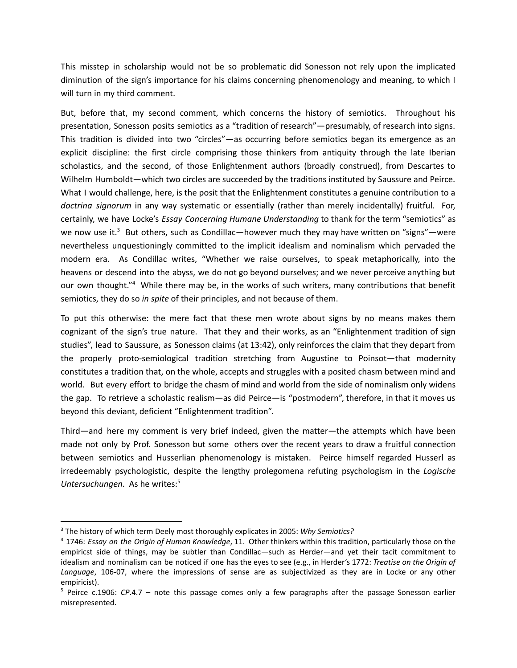This misstep in scholarship would not be so problematic did Sonesson not rely upon the implicated diminution of the sign's importance for his claims concerning phenomenology and meaning, to which I will turn in my third comment.

But, before that, my second comment, which concerns the history of semiotics. Throughout his presentation, Sonesson posits semiotics as a "tradition of research"—presumably, of research into signs. This tradition is divided into two "circles"—as occurring before semiotics began its emergence as an explicit discipline: the first circle comprising those thinkers from antiquity through the late Iberian scholastics, and the second, of those Enlightenment authors (broadly construed), from Descartes to Wilhelm Humboldt—which two circles are succeeded by the traditions instituted by Saussure and Peirce. What I would challenge, here, is the posit that the Enlightenment constitutes a genuine contribution to a *doctrina signorum* in any way systematic or essentially (rather than merely incidentally) fruitful. For, certainly, we have Locke's *Essay Concerning Humane Understanding* to thank for the term "semiotics" as we now use it.<sup>3</sup> But others, such as Condillac—however much they may have written on "signs"—were nevertheless unquestioningly committed to the implicit idealism and nominalism which pervaded the modern era. As Condillac writes, "Whether we raise ourselves, to speak metaphorically, into the heavens or descend into the abyss, we do not go beyond ourselves; and we never perceive anything but our own thought."<sup>4</sup> While there may be, in the works of such writers, many contributions that benefit semiotics, they do so *in spite* of their principles, and not because of them.

To put this otherwise: the mere fact that these men wrote about signs by no means makes them cognizant of the sign's true nature. That they and their works, as an "Enlightenment tradition of sign studies", lead to Saussure, as Sonesson claims (at 13:42), only reinforces the claim that they depart from the properly proto-semiological tradition stretching from Augustine to Poinsot—that modernity constitutes a tradition that, on the whole, accepts and struggles with a posited chasm between mind and world. But every effort to bridge the chasm of mind and world from the side of nominalism only widens the gap. To retrieve a scholastic realism—as did Peirce—is "postmodern", therefore, in that it moves us beyond this deviant, deficient "Enlightenment tradition".

Third—and here my comment is very brief indeed, given the matter—the attempts which have been made not only by Prof. Sonesson but some others over the recent years to draw a fruitful connection between semiotics and Husserlian phenomenology is mistaken. Peirce himself regarded Husserl as irredeemably psychologistic, despite the lengthy prolegomena refuting psychologism in the *Logische Untersuchungen*. As he writes: 5

<sup>3</sup> The history of which term Deely most thoroughly explicates in 2005: *Why Semiotics?*

<sup>4</sup> 1746: *Essay on the Origin of Human Knowledge*, 11. Other thinkers within this tradition, particularly those on the empiricst side of things, may be subtler than Condillac—such as Herder—and yet their tacit commitment to idealism and nominalism can be noticed if one has the eyes to see (e.g., in Herder's 1772: *Treatise on the Origin of Language*, 106-07, where the impressions of sense are as subjectivized as they are in Locke or any other empiricist).

<sup>5</sup> Peirce c.1906: *CP*.4.7 – note this passage comes only a few paragraphs after the passage Sonesson earlier misrepresented.